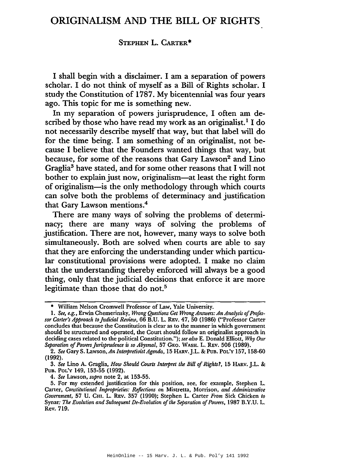## ORIGINALISM AND THE BILL OF RIGHTS

## STEPHEN L. CARTER\*

I shall begin with a disclaimer. I am a separation of powers scholar. I do not think of myself as a Bill of Rights scholar. I study the Constitution of 1787. My bicentennial was four years ago. This topic for me is something new.

In my separation of powers jurisprudence, I often am described by those who have read my work as an originalist.<sup>1</sup> I do not necessarily describe myself that way, but that label will do for the time being. I am something of an originalist, not because I believe that the Founders wanted things that way, but because, for some of the reasons that Gary Lawson<sup>2</sup> and Lino Graglia3 have stated, and for some other reasons that I will not bother to explain just now, originalism-at least the right form of originalism-is the only methodology through which courts can solve both the problems of determinacy and justification that Gary Lawson mentions.4

There are many ways of solving the problems of determinacy; there are many ways of solving the problems of justification. There are not, however, many ways to solve both simultaneously. Both are solved when courts are able to say that they are enforcing the understanding under which particular constitutional provisions were adopted. I make no claim that the understanding thereby enforced will always be a good thing, only that the judicial decisions that enforce it are more legitimate than those that do not.<sup>5</sup>

*4. See* Lawson, *supra* note 2, at 153-55.

<sup>•</sup> William Nelson Cromwell Professor of Law, Yale University.

<sup>1.</sup> *See, e.g.,* Erwin Chemerinsky, *Wrong Questions Get Wrong Answers: An Analysis of Profes*sor Carter's *Approach to Judicial Review*, 66 B.U. L. REV. 47, 50 (1986) ("Professor Carter concludes that because the Constitution is clear as to the manner in which government should be structured and operated, the Court should follow an originalist approach in deciding cases related to the political Constitution."); *see also* E. Donald Elliott, *Why Our Separation* oj*Powers Jurisprudence is so Abysmal,* 57 GEO. WASH. L. REV. 506 (1989).

*<sup>2.</sup> See* Gary S. Lawson, *An Interpretivist Agenda,* 15 HARV.J.L. & PUB. POL'y 157, 158-60 (1992).

*<sup>3.</sup> See* Lino A. Graglia, *How Should Courts Interpret the Bill ofRights?,* 15 HARV. J.L. & PuB. POL'y 149, 153-55 (1992).

<sup>5.</sup> For my extended justification for this position, see, for example, Stephen L. Carter, *Constitutional Improprieties: Reflections on* Mistretta, Morrison, *and Administrative Government,* 57 U. CHI. L. REV. 357 (1990); Stephen L. Carter *From* Sick Chicken *to* Synar: *The Evolution and Subsequent De-Evolution ofthe Separation ofPowers,* 1987 B.Y.U. L. Rev. 719.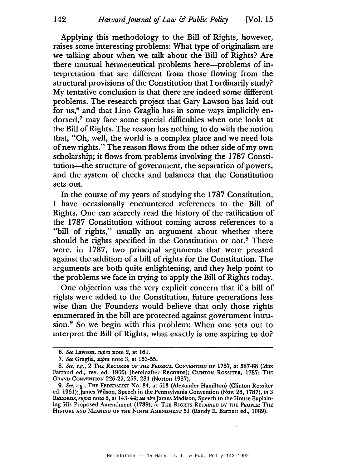Applying this methodology to the Bill of Rights, however, raises some interesting problems: What type of originalism are we talking' about when we talk about the Bill of Rights? Are there unusual hermeneutical problems here--problems of in-.terpretation that are different from those flowing from the structural provisions of the Constitution that I ordinarily study? My tentative conclusion is that there are indeed some different problems. The research project that Gary Lawson has laid out for us, $<sup>6</sup>$  and that Lino Graglia has in some ways implicitly en-</sup> dorsed,<sup>7</sup> may face some special difficulties when one looks at the Bill of Rights. The reason has nothing to do with the notion that, "Oh, well, the world is a complex place and we need lots of new rights." The reason flows from the other side of my own scholarship; it flows from problems involving the 1787 Constitution-the structure of government, the separation of powers, and the system of checks and balances that the Constitution sets out.

In the course of my years of studying the 1787 Constitution, I have occasionally encountered references to the Bill of Rights. One can scarcely read the history of the ratification of the 1787 Constitution without coming across references to a "bill of rights," usually an argument about whether there should be rights specified in the Constitution or not.<sup>8</sup> There were, in 1787, two principal arguments that were pressed against the addition of a bill of rights for the Constitution. The arguments are both quite enlightening, and they help point to the problems we face in trying to apply the Bill of Rights today.

One objection was the very explicit concern that if a bill of rights were added to the Constitution, future generations less wise than the Founders would believe that only those rights enumerated in the bill are protected against government intrusion.<sup>9</sup> So we begin with this problem: When one sets out to interpret the Bill of Rights, what exactly is one aspiring to do?

*<sup>6.</sup> See* Lawson, *supra* note 2, at 161.

*<sup>7.</sup> See* Graglia, *supra* note 3, at 153-55.

*<sup>8.</sup> See, e.g.,* 2 THE RECORDS OF THE FEDERAL CONVENTION OF 1787, at 587-88 (Max Farrand ed., rev. ed. 1966) [hereinafter RECORDS]; CLINTON ROSSITER, 1787: THE GRAND CONVENTION 226-27, 259, 284 (Norton 1987).

*<sup>9.</sup> See, e.g.,* THE FEDERALIST No. 84, at 513 (Alexander Hamilton) (Clinton Rossiter ed. 1961); James Wilson, Speech in the Pennsylvania Convention (Nov. 28, 1787), in 3 RECORDS, *supra* note 8, at 143-44; *see also*James Madison, Speech to the House Explaining His Proposed Amendment (1789),  $\tilde{m}$  The RIGHTS RETAINED BY THE PEOPLE: THE HISTORY AND MEANING OF THE NINTH AMENDMENT 51 (Randy E. Barnett ed., 1989).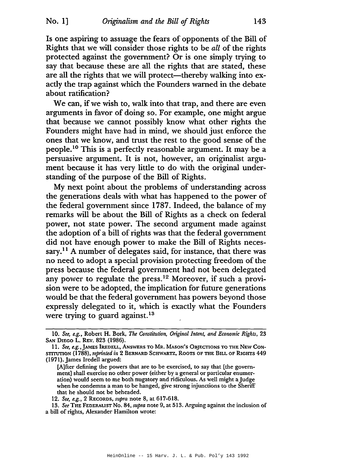Is one aspiring to assuage the fears of opponents of the Bill of Rights that we will consider those rights to be *all* of the rights protected against the government? Or is one simply trying to say that because these are all the rights that are stated, these are all the rights that we will protect—thereby walking into exactly the trap against which the Founders warned in the debate about ratification?

We can, if we wish to, walk into that trap, and there are even arguments in favor of doing so. For example, one might argue that because we cannot possibly know what other rights the Founders might have had in mind, we should just enforce the ones that we know, and trust the rest to the good sense of the people. <sup>10</sup> This is a perfectly reasonable argument. It may be a persuasive argument. It is not, however, an originalist argument because it has very little to do with the original understanding of the purpose of the Bill of Rights.

My next point about the problems of understanding across the generations deals with what has happened to the power of the federal government since 1787. Indeed, the balance of my remarks will be about the Bill of Rights as a check on federal power, not state power. The second argument made against the adoption of a bill of rights was that the federal government did not have enough power to make the Bill of Rights necessary.<sup>11</sup> A number of delegates said, for instance, that there was no need to adopt a special provision protecting freedom of the press because the federal government had not been delegated any power to regulate the press.<sup>12</sup> Moreover, if such a provision were to be adopted, the implication for future generations would be that the federal government has powers beyond those expressly delegated to it, which is exactly what the Founders were trying to guard against.<sup>13</sup>

*<sup>10.</sup> See, e.g.,* Robert H. Bork, *The Constitution, Original Intent, and Economic Rights,* 23 SAN DIEGO L. REV. 823 (1986).

II. *See, e.g.* ,JAMES IREDELL, ANSWERS TO MR. MASON'S OBJECTIONS TO TIlE NEW CON-STITUTION (1788), *reprinted in* 2 BERNARD SCHWARTZ, ROOTS OF TIlE BILL OF RIGHTS 449 (1971).James Iredell argued:

<sup>[</sup>A]fter defining the powers that are to be exercised, to say that [the government] shall exercise no other power (either by a general or particular enumeration) would seem to me both nugatory and ridiculous. As well might a Judge when he condemns a man to be hanged, give strong injunctions to the Sheriff that he should not be beheaded.

*<sup>12.</sup> See, e.g.,* 2 RECORDS, *supra* note 8, at 617-618.

*<sup>13.</sup> See* THE FEDERALIST No. 84, *supra* note 9, at 513. Arguing against the inclusion of a bill of rights, Alexander Hamilton wrote: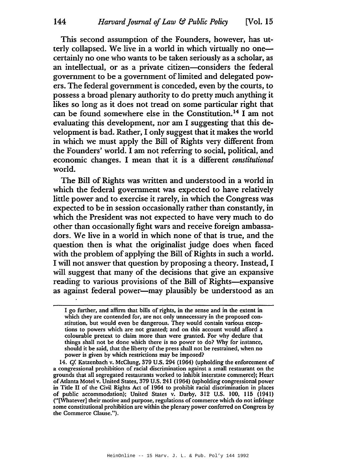This second assumption of the Founders, however, has utterly collapsed. We live in a world in which virtually no onecertainly no one who wants to be taken seriously as a scholar, as an intellectual, or as a private citizen—considers the federal government to be a government of limited and delegated powers. The federal government is conceded, even by the courts, to possess a broad plenary authority to do pretty much anything it likes so long as it does not tread on some particular right that can be found somewhere else in the Constitution. <sup>14</sup> I am not evaluating this development, nor am I suggesting that this development is bad. Rather, I only suggest that it makes the world in which we must apply the Bill of Rights very different from the Founders' world. I am not referring to social, political, and economic changes. I mean that it is a different *constitutional* world.

The Bill of Rights was written and understood in a world in which the federal government was expected to have relatively little power and to exercise it rarely, in which the Congress was expected to be in session occasionally rather than constantly, in which the President was not expected to have very much to do other than occasionally'fight wars and receive foreign ambassadors. We live in a world in which none of that is true, and the question then is what the originalist judge does when faced with the problem of applying the Bill of Rights in such a world. I will not answer that question by proposing a theory. Instead, I will suggest that many of the decisions that give an expansive reading to various provisions of the Bill of Rights-expansive as against federal power--may plausibly be understood as an

I go further, and affirm that bills of rights, in the sense and in the extent in which they are contended for, are not only unnecessary in the proposed constitution, but would even be dangerous. They would contain various exceptions to powers which are not granted; and on this account would alford a colourable pretext to claim more than were granted. For why declare that things shall not be done which there is no power to do? Why for instance, should it be said, that the liberty of the press shall not be restrained, when no power is given by which restrictions may be imposed?

*<sup>14.</sup> Cf.* Katzenbach v. McClung, 379 U.S. 294 (1964) (upholding the enforcement of a congressional prohibition of racial discrimination against a small restaurant on the grounds that all segregated restaurants worked to inhibit interstate commerce); Heart ofAtlanta Motel v. United States, 379 U.S. 241 (1964) (upholding congressional power in Title 11 of the Civil Rights Act of 1964 to prohibit racial discrimination in places of public accommodation); United States v. Darby, 312 U.S. 100, 115 (1941) ("[Whatever] their motive and purpose, regulations of commerce which do not infringe some constitutional prohibition are within the plenary power conferred on Congress by the Commerce Clause.").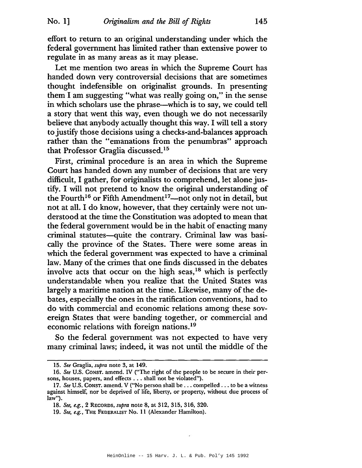effort to return to an original understanding under which the federal government has limited rather than extensive power to regulate in as many areas as it may please.

Let me mention two areas in which the Supreme Court has handed down very controversial decisions that are sometimes thought indefensible on originalist grounds. In presenting them I am suggesting "what was really going on," in the sense in which scholars use the phrase-which is to say, we could tell a story that went this way, even though we do not necessarily believe that anybody actually thought this way. I will tell a story to justify those decisions using a checks-and-balances approach rather than the "emanations from the penumbras" approach that Professor Graglia discussed.<sup>15</sup>

First, criminal procedure is an area in which the Supreme Court has handed down any number of decisions that are very difficult, I gather, for originalists to comprehend, let alone justify. I will not pretend to know the original understanding of the Fourth<sup>16</sup> or Fifth Amendment<sup>17</sup>—not only not in detail, but not at all. I do know, however, that they certainly were not understood at the time the Constitution was adopted to mean that the federal government would be in the habit of enacting many criminal statutes-quite the contrary. Criminal law was basically the province of the States. There were some areas in which the federal government was expected to have a criminal law. Many of the crimes that one finds discussed in the debates involve acts that occur on the high seas, $18$  which is perfectly understandable when you realize that the United States was largely a maritime nation at the time. Likewise, many of the debates, especially the ones in the ratification conventions, had to do with commercial and economic relations among these sovereign States that were banding together, or commercial and economic relations with foreign nations.19

So the federal government was not expected to have very many criminal laws; indeed, it was not until the middle of the

*<sup>15.</sup> See* Graglia, *supra* note 3, at 149.

*<sup>16.</sup> See* U.S. CONST. amend. IV ("The right of the people to be secure in their persons, houses, papers, and effects ... shall not be violated").

<sup>17.</sup> *See* U.S. Const. amend. V ("No person shall be . . . compelled . . . to be a witness against himself, nor be deprived of life, liberty, or property, without due process of law").

*<sup>18.</sup> See, e.g.,* 2 RECORDS, *supra* note 8, at 312,315,316,320.

*<sup>19.</sup> See, e.g.,* THE FEDERALIST No. 11 (Alexander Hamilton).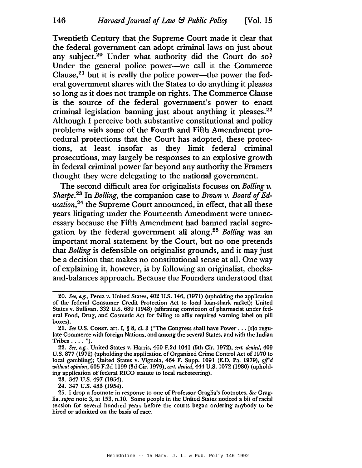Twentieth Century that the Supreme Court made it clear that the federal government can adopt criminal laws on just about any subject.<sup>20</sup> Under what authority did the Court do so? Under the general police power--we call it the Commerce Clause,<sup>21</sup> but it is really the police power—the power the federal government shares with the States to do anything it pleases so long as it does not trample on rights. The Commerce Clause is the source of the federal government's power to enact criminal legislation banning just about anything it pleases.<sup>22</sup> Although I perceive both substantive constitutional and policy problems with some of the Fourth and Fifth Amendment procedural protections that the Court has adopted, these protections, at least insofar as they limit federal criminal prosecutions, may largely be responses to an explosive growth in federal criminal power far beyond any authority the Framers thought they were delegating to the national government.

The second difficult area for originalists focuses on *Bolling v. Sharpe.*<sup>23</sup> In *Bolling*, the companion case to *Brown v. Board of Education,24* the Supreme Court announced, in effect, that all these years litigating under the Fourteenth Amendment were unnecessary because the Fifth Amendment had banned racial segregation by the federal government all along.<sup>25</sup> *Bolling* was an important moral statement by the Court, but no one pretends that *Bolling* is defensible on originalist grounds, and it may just be a decision that makes no constitutional sense at all. One way of explaining it, however, is by following an originalist, checksand-balances approach. Because the Founders understood that

23. 347 U.S. 497 (1954).

24. 347 U.S. 483 (1954).

*<sup>20.</sup> See, e.g.,* Perez v. United States, 402 U.S. 146, (1971) (upholding the application of the federal Consumer Credit Protection Act to local loan-shark racket); United States v. Sullivan, 332 U.S. 689 (1948) (affirming conviction of pharmacist under federal Food, Drug, and Cosmetic Act for failing to affix required warning label on pill boxes).

*<sup>21.</sup> See* U.S. CONST. art. I, § 8, d. <sup>3</sup> ("The Congress shall have Power ... [t]o regulate Commerce with foreign Nations, and among the several States, and with the Indian Tribes .... ").

*<sup>22.</sup> See, e.g.,* United States v. Harris, 460 F.2d 1041 (5th Cir. 1972), *cert. denied, 409* U.S. 877 (1972) (upholding the application of Organized Crime Control Act of 1970 to local gambling); United States v. Vignola, 464 F. Supp. 1091 (E.D. Pa. 1979), *aff'd without opinion,* 605 F.2d 1199 (3d Cir. 1979), *cert. denied,* 444 U.S. 1072 (1980) (upholding application of federal RICO statute to local racketeering).

<sup>25.</sup> I drop a footnote in response to one of Professor Graglia's footnotes. *See* Graglia, *supra* note 3, at 153, n.lO. Some people in the United States noticed a bit of racial tension for several hundred years before the courts began ordering anybody to be hired or admitted on the basis of race.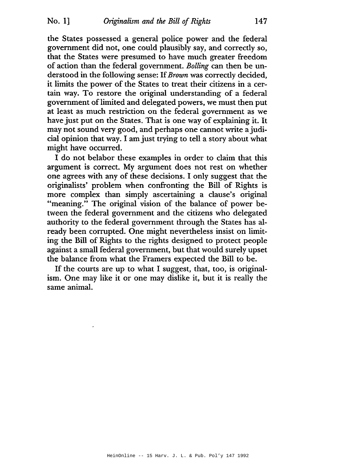the States possessed a general police power and the federal government did not, one could plausibly say, and correctly so, that the States were presumed to have much greater freedom of action than the federal government. *Bolling* can then be understood in the following sense: If*Brown* was correctly decided, it limits the power of the States to treat their citizens in a certain way. To restore the original understanding of a federal government oflimited and delegated powers, we must then put at least as much restriction on the federal government as we have just put on the States. That is one way of explaining it. It may not sound very good, and perhaps one cannot write ajudicial opinion that way. I amjust trying to tell a story about what might have occurred.

I do not belabor these examples in order to claim that this argument is correct. My argument does not rest on whether one agrees with any of these decisions. I only suggest that the originalists' problem when confronting the Bill of Rights is more complex than simply ascertaining a clause's original "meaning." The original vision of the balance of power between the federal government and the citizens who delegated authority to the federal government through the States has already been corrupted. One might nevertheless insist on limiting the Bill of Rights to the rights designed to protect people against a small federal government, but that would surely upset the balance from what the Framers expected the Bill to be.

If the courts are up to what I suggest, that, too, is originalism. One may like it or one may dislike it, but it is really the same animal.